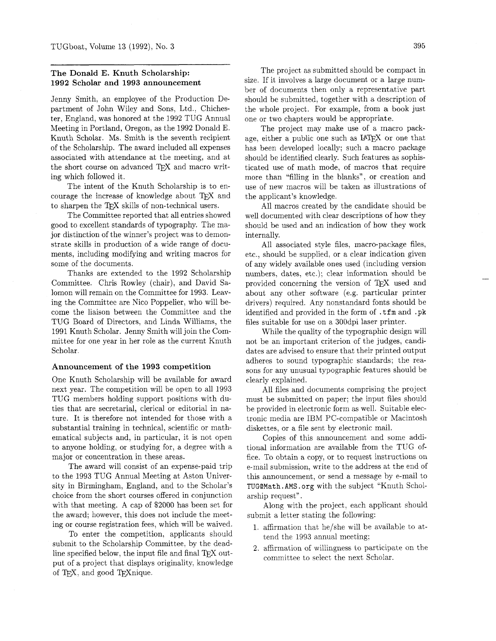#### **The Donald E. Knuth Scholarship: 1992 Scholar and 1993 announcement**

Jenny Smith, an employee of the Production Department of John Wiley and Sons, Ltd., Chichester, England, was honored at the 1992 TUG Annual Meeting in Portland, Oregon, as the 1992 Donald E. Knuth Scholar. Ms. Smith is the seventh recipient of the Scholarship. The award included all expenses associated with attendance at the meeting. and at the short course on advanced TFX and macro writing which followed it.

The intent of the Knuth Scholarship is to encourage the increase of knowledge about TEX and to sharpen the TFX skills of non-technical users.

The Committee reported that all entries showed good to excellent standards of typography. The major distinction of the winner's project was to demonstrate skills in production of a wide range of documents, including modifying and writing macros for some of the documents.

Thanks are extended to the 1992 Scholarship Committee. Chris Rowley (chair), and David Salomon will remain on the Committee for 1993. Leaving the Committee are Nico Poppelier, who will become the liaison between the Committee and the TUG Board of Directors, and Linda Williams, the 1991 Knuth Scholar. Jenny Smith will join the Committee for one year in her role as the current Knuth Scholar.

#### **Announcement of the 1993 competition**

One Knuth Scholarship will be available for award next year. The competition will be open to all 1993 TUG members holding support positions with duties that are secretarial, clerical or editorial in nature. It is therefore not intended for those with a substantial training in technical, scientific or mathematical subjects and, in particular, it is not open to anyone holding, or studying for, a degree with a major or concentration in these areas.

The award will consist of an expense-paid trip to the 1993 TUG Annual Meeting at Aston University in Birmingham, England, and to the Scholar's choice from the short courses offered in conjunction with that meeting. A cap of \$2000 has been set for the award; however, this does not include the meeting or course registration fees, which will be waived.

To enter the competition, applicants should submit to the Scholarship Committee, by the deadline specified below, the input file and final  $T_{\rm F}X$  output of a project that displays originality, knowledge of TFX, and good TFX nique.

The project as submitted should be compact in size. If it involves a large document or a large number of documents then only a representative part should be submitted, together with a description of the whole project. For example, from a book just one or two chapters would be appropriate.

The project may make use of a macro package, either a public one such as IATEX or one that has been developed locally; such a macro package should be identified clearly. Such features as sophisticated use of math mode, of macros that require more than "filling in the blanks", or creation and use of new macros will be taken as illustrations of the applicant's knowledge.

All macros created by the candidate should be well documented with clear descriptions of how they should be used and an indication of how they work internally.

All associated style files, macro-package files, etc., should be supplied, or a clear indication given of any widely available ones used (including version numbers, dates, etc.); clear information should be provided concerning the version of TFX used and about any other software (e.g. particular printer drivers) required. Any nonstandard fonts should be identified and provided in the form of . tfm and . pk files suitable for use on a 300dpi laser printer.

While the quality of the typographic design will not be an important criterion of the judges, candidates are advised to ensure that their printed output adheres to sound typographic standards; the reasons for any unusual typographic features should be clearly explained.

All files and documents comprising the project must be submitted on paper; the input files should be provided in electronic form as well. Suitable electronic media are IBM PC-compatible or Macintosh diskettes, or a file sent by electronic mail.

Copies of this announcement and some additional information are available from the TUG office. To obtain a copy, or to request instructions on e-mail submission, write to the address at the end of this announcement, or send a message by e-mail to TUGQMath. AMS. org with the subject "Knuth Scholarship request".

Along with the project, each applicant should submit a letter stating the following:

- 1. affirmation that he/she will be available to attend the 1993 annual meeting;
- 2. affirmation of willingness to participate on the committee to select the next Scholar.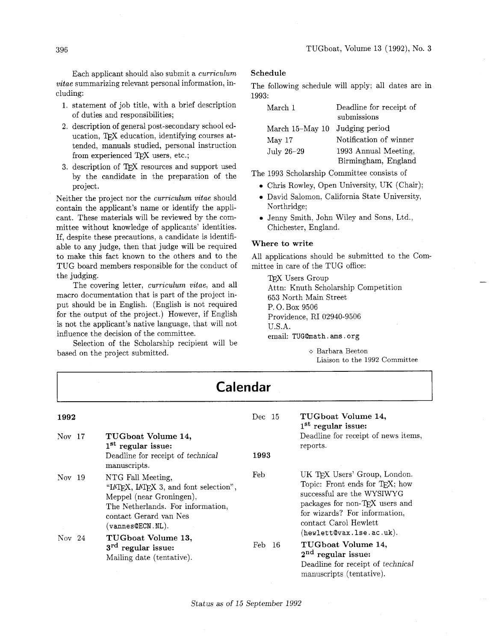Each applicant should also submit a curriculum vitae summarizing relevant personal information, including:

- 1. statement of job title, with a brief description of duties and responsibilities;
- **2,** description of general post-secondary school education, TFX education, identifying courses attended, manuals studied, personal instruction from experienced TEX users, etc.;
- 3. description of TFX resources and support used by the candidate in the preparation of the project.

Neither the project nor the curriculum vitae should contain the applicant's name or identify the applicant. These materials will be reviewed by the committee without knowledge of applicants' identities. If, despite these precautions, a candidate is identifiable to any judge, then that judge will be required to make this fact known to the others and to the TUG board members responsible for the conduct of the judging.

The covering letter, *curriculum vitae*, and all macro documentation that is part of the project input should be in English. (English is not required for the output of the project.) However, if English is not the applicant's native language, that will not influence the decision of the committee.

Selection of the Scholarship recipient will be based on the project submitted.

#### **Schedule**

The following schedule will apply; all dates are in 1993:

| March 1           | Deadline for receipt of<br>submissions |
|-------------------|----------------------------------------|
|                   |                                        |
| March $15-May$ 10 | Judging period                         |
| May 17            | Notification of winner                 |
| July 26-29        | 1993 Annual Meeting,                   |
|                   | Birmingham, England                    |

The 1993 Scholarship Committee consists of

- 0 Chris Rowley, Open University, UK (Chair);
- 0 David Salomon, California State University, Northridge;
- 0 Jenny Smith, John Wiley and Sons, Ltd., Chichester, England.

#### **Where to write**

All applications should be submitted to the Committee in care of the TUG office:

TFX Users Group Attn: Knuth Scholarship Competition 653 North Main Street P. 0. Box 9506 Providence, RI 02940-9506 U.S.A. email: TUG@math.ams.org

> o Barbara Beeton Liaison to the 1992 Committee

| <b>Calendar</b>  |                                                                                                                                                                                      |            |                                                                                                                                                                                          |  |  |  |
|------------------|--------------------------------------------------------------------------------------------------------------------------------------------------------------------------------------|------------|------------------------------------------------------------------------------------------------------------------------------------------------------------------------------------------|--|--|--|
| 1992<br>Nov $17$ | TUGboat Volume 14,<br>$1st$ regular issue:                                                                                                                                           | Dec~15     | TUGboat Volume 14,<br>$1st$ regular issue:<br>Deadline for receipt of news items,<br>reports.                                                                                            |  |  |  |
|                  | Deadline for receipt of technical<br>manuscripts.                                                                                                                                    | 1993       |                                                                                                                                                                                          |  |  |  |
| Nov 19           | NTG Fall Meeting,<br>"LATFX, LATFX 3, and font selection",<br>Meppel (near Groningen),<br>The Netherlands. For information,<br>contact Gerard van Nes<br>$(\mathtt{vannes@ECN.NL}).$ | Feb        | UK TFX Users' Group, London.<br>Topic: Front ends for TEX; how<br>successful are the WYSIWYG<br>packages for non-TEX users and<br>for wizards? For information,<br>contact Carol Hewlett |  |  |  |
| Nov $24$         | TUGboat Volume 13,<br>$3rd$ regular issue:<br>Mailing date (tentative).                                                                                                              | Feb<br>-16 | (hewlett@vax.lse.ac.uk).<br>TUGboat Volume 14,<br>$2nd$ regular issue:<br>Deadline for receipt of technical<br>manuscripts (tentative).                                                  |  |  |  |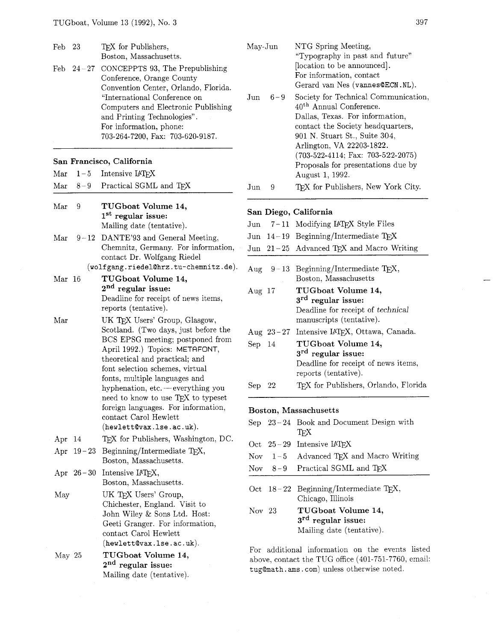| Feb 23<br>Feb. | $24\hspace{-0.08cm}-\hspace{-0.08cm}27$ | TEX for Publishers,<br>Boston, Massachusetts.<br>CONCEPPTS 93, The Prepublishing<br>Conference, Orange County<br>Convention Center, Orlando, Florida.<br>"International Conference on<br>Computers and Electronic Publishing<br>and Printing Technologies".<br>For information, phone:<br>703-264-7200, Fax: 703-620-9187. | May-Jun               |                                                                                                                                                     | NTG Spring Meeting,<br>"Typography in past and future"<br>[location to be announced].<br>For information, contact<br>Gerard van Nes (vannes@ECN.NL).                                                              |  |  |
|----------------|-----------------------------------------|----------------------------------------------------------------------------------------------------------------------------------------------------------------------------------------------------------------------------------------------------------------------------------------------------------------------------|-----------------------|-----------------------------------------------------------------------------------------------------------------------------------------------------|-------------------------------------------------------------------------------------------------------------------------------------------------------------------------------------------------------------------|--|--|
|                |                                         |                                                                                                                                                                                                                                                                                                                            | Jun                   | $6 - 9$                                                                                                                                             | Society for Technical Communication,<br>40 <sup>th</sup> Annual Conference.<br>Dallas, Texas. For information,<br>contact the Society headquarters,<br>901 N. Stuart St., Suite 304,<br>Arlington, VA 22203-1822. |  |  |
|                |                                         | San Francisco, California                                                                                                                                                                                                                                                                                                  |                       |                                                                                                                                                     | $(703-522-4114; \text{ Fax: } 703-522-2075)$<br>Proposals for presentations due by                                                                                                                                |  |  |
| Mar            | $1 - 5$                                 | Intensive IATEX                                                                                                                                                                                                                                                                                                            |                       |                                                                                                                                                     | August 1, 1992.                                                                                                                                                                                                   |  |  |
| Mar            | $8 - 9$                                 | Practical SGML and TEX                                                                                                                                                                                                                                                                                                     | $_{\text{Jun}}$       | 9                                                                                                                                                   | TFX for Publishers, New York City.                                                                                                                                                                                |  |  |
| Mar            | 9                                       | TUGboat Volume 14,<br>1 <sup>st</sup> regular issue:                                                                                                                                                                                                                                                                       |                       |                                                                                                                                                     | San Diego, California                                                                                                                                                                                             |  |  |
|                |                                         | Mailing date (tentative).                                                                                                                                                                                                                                                                                                  | Jun                   |                                                                                                                                                     | 7-11 Modifying IATEX Style Files                                                                                                                                                                                  |  |  |
| Mar            | $9 - 12$                                | DANTE'93 and General Meeting,                                                                                                                                                                                                                                                                                              |                       |                                                                                                                                                     | Jun $14-19$ Beginning/Intermediate TEX                                                                                                                                                                            |  |  |
|                |                                         | Chemnitz, Germany. For information,<br>contact Dr. Wolfgang Riedel                                                                                                                                                                                                                                                         |                       |                                                                                                                                                     | Jun 21-25 Advanced TEX and Macro Writing                                                                                                                                                                          |  |  |
| Mar 16         |                                         | (wolfgang.riedel@hrz.tu-chemnitz.de).<br>TUGboat Volume 14,                                                                                                                                                                                                                                                                | Aug                   | $9 - 13$                                                                                                                                            | Beginning/Intermediate TEX,<br>Boston, Massachusetts                                                                                                                                                              |  |  |
|                |                                         | $2nd$ regular issue:<br>Deadline for receipt of news items,<br>reports (tentative).                                                                                                                                                                                                                                        | Aug $17$              |                                                                                                                                                     | TUGboat Volume 14,<br>$3rd$ regular issue:<br>Deadline for receipt of technical                                                                                                                                   |  |  |
| Mar            |                                         | UK TEX Users' Group, Glasgow,<br>Scotland. (Two days, just before the                                                                                                                                                                                                                                                      |                       | Aug $23 - 27$                                                                                                                                       | manuscripts (tentative).<br>Intensive IATEX, Ottawa, Canada.                                                                                                                                                      |  |  |
|                |                                         | BCS EPSG meeting; postponed from<br>April 1992.) Topics: METAFONT,<br>theoretical and practical; and<br>font selection schemes, virtual                                                                                                                                                                                    | Sep                   | -14                                                                                                                                                 | TUGboat Volume 14,<br>$3rd$ regular issue:<br>Deadline for receipt of news items,                                                                                                                                 |  |  |
|                |                                         | fonts, multiple languages and<br>hyphenation, etc. - everything you                                                                                                                                                                                                                                                        | Sep                   | 22                                                                                                                                                  | reports (tentative).<br>TFX for Publishers, Orlando, Florida                                                                                                                                                      |  |  |
|                |                                         | need to know to use T <sub>F</sub> X to typeset<br>foreign languages. For information,                                                                                                                                                                                                                                     | Boston, Massachusetts |                                                                                                                                                     |                                                                                                                                                                                                                   |  |  |
|                |                                         | contact Carol Hewlett<br>$(hewlet t$ $vax.$ ise. $ac.$ $uk).$                                                                                                                                                                                                                                                              |                       |                                                                                                                                                     | Sep $23-24$ Book and Document Design with                                                                                                                                                                         |  |  |
| Apr 14         |                                         | TFX for Publishers, Washington, DC.                                                                                                                                                                                                                                                                                        |                       |                                                                                                                                                     | TEX                                                                                                                                                                                                               |  |  |
|                |                                         | Apr $19-23$ Beginning/Intermediate T <sub>E</sub> X,                                                                                                                                                                                                                                                                       | Oct                   |                                                                                                                                                     | $25-29$ Intensive IATEX                                                                                                                                                                                           |  |  |
|                |                                         | Boston, Massachusetts.                                                                                                                                                                                                                                                                                                     | Nov                   | $1 - 5$                                                                                                                                             | Advanced TEX and Macro Writing                                                                                                                                                                                    |  |  |
|                |                                         | Apr $26-30$ Intensive IATFX,                                                                                                                                                                                                                                                                                               | Nov                   | $8 - 9$                                                                                                                                             | Practical SGML and TEX                                                                                                                                                                                            |  |  |
| May            |                                         | Boston, Massachusetts.<br>UK TEX Users' Group,                                                                                                                                                                                                                                                                             |                       |                                                                                                                                                     | Oct $18-22$ Beginning/Intermediate T <sub>E</sub> X,                                                                                                                                                              |  |  |
|                |                                         | Chichester, England. Visit to                                                                                                                                                                                                                                                                                              |                       |                                                                                                                                                     | Chicago, Illinois                                                                                                                                                                                                 |  |  |
|                |                                         | John Wiley & Sons Ltd. Host:<br>Geeti Granger. For information,                                                                                                                                                                                                                                                            | Nov 23                |                                                                                                                                                     | TUGboat Volume 14,<br>$3rd$ regular issue:<br>Mailing date (tentative).                                                                                                                                           |  |  |
|                |                                         | contact Carol Hewlett<br>$(hewlett$ $Qvax$ . Ise. $ac.uk)$ .                                                                                                                                                                                                                                                               |                       |                                                                                                                                                     |                                                                                                                                                                                                                   |  |  |
| May 25         |                                         | TUGboat Volume 14,<br>$2nd$ regular issue:<br>Mailing date (tentative).                                                                                                                                                                                                                                                    |                       | For additional information on the events listed<br>above, contact the TUG office (401-751-7760, email:<br>tug@math.ams.com) unless otherwise noted. |                                                                                                                                                                                                                   |  |  |
|                |                                         |                                                                                                                                                                                                                                                                                                                            |                       |                                                                                                                                                     |                                                                                                                                                                                                                   |  |  |

|                   |               | For information, contact<br>Gerard van Nes (vannes@ECN.NL).                                                                                                                                                                                                                                                                |
|-------------------|---------------|----------------------------------------------------------------------------------------------------------------------------------------------------------------------------------------------------------------------------------------------------------------------------------------------------------------------------|
| Jun               | $6 - 9$       | Society for Technical Communication,<br>40 <sup>th</sup> Annual Conference.<br>Dallas, Texas. For information,<br>contact the Society headquarters,<br>901 N. Stuart St., Suite 304,<br>Arlington, VA 22203-1822.<br>$(703-522-4114; \text{ Fax: } 703-522-2075)$<br>Proposals for presentations due by<br>August 1, 1992. |
| $_{\mathrm{Jun}}$ | 9             | TFX for Publishers, New York City.                                                                                                                                                                                                                                                                                         |
|                   |               | San Diego, California                                                                                                                                                                                                                                                                                                      |
| $_{\mathrm{Jun}}$ | 7 – 11        | Modifying IATEX Style Files                                                                                                                                                                                                                                                                                                |
| Jun               |               | $14-19$ Beginning/Intermediate TEX                                                                                                                                                                                                                                                                                         |
| $_{\mathrm{Jun}}$ | $21 - 25$     | Advanced TEX and Macro Writing                                                                                                                                                                                                                                                                                             |
|                   |               | Aug $9-13$ Beginning/Intermediate TEX,<br>Boston, Massachusetts                                                                                                                                                                                                                                                            |
| Aug $17$          |               | TUGboat Volume 14,<br>3 <sup>rd</sup> regular issue:<br>Deadline for receipt of technical<br>manuscripts (tentative).                                                                                                                                                                                                      |
|                   | Aug $23 - 27$ | Intensive IATFX, Ottawa, Canada.                                                                                                                                                                                                                                                                                           |
| $\rm Sep$         | 14            | TUGboat Volume 14,<br>3 <sup>rd</sup> regular issue:<br>Deadline for receipt of news items,<br>reports (tentative).                                                                                                                                                                                                        |
| Sep               | 22            | TFX for Publishers, Orlando, Florida                                                                                                                                                                                                                                                                                       |
|                   |               | Boston, Massachusetts                                                                                                                                                                                                                                                                                                      |
|                   | Sep $23-24$   | Book and Document Design with<br>TEX                                                                                                                                                                                                                                                                                       |
| Oct               | $25 - 29$     | Intensive IATEX                                                                                                                                                                                                                                                                                                            |
| <b>Nov</b>        | $1-5$         | Advanced TEX and Macro Writing                                                                                                                                                                                                                                                                                             |
| Nov               | $8 - 9$       | Practical SGML and TFX                                                                                                                                                                                                                                                                                                     |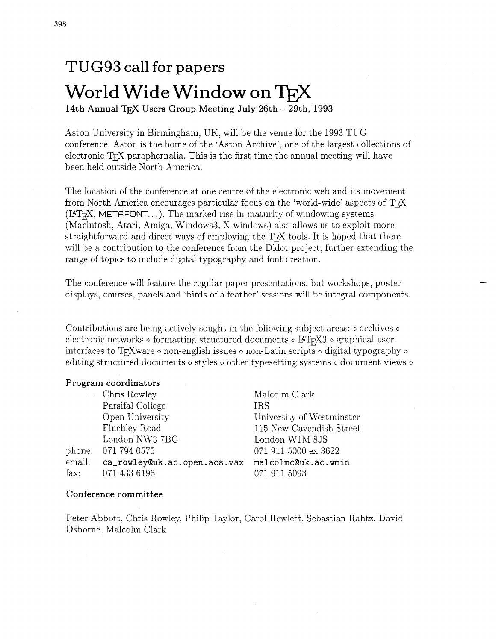# TUG93 call for **papers**  World Wide Window on TFX

14th Annual TEX Users Group Meeting July 26th - 29th, 1993

Aston University in Birmingham, UK, will be the venue for the 1993 TUG conference. Aston is the home of the 'Aston Archive', one of the largest collections of electronic  $T_F X$  paraphernalia. This is the first time the annual meeting will have been held outside North America.

The location of the conference at one centre of the electronic web and its movement from North America encourages particular focus on the 'world-wide' aspects of T<sub>F</sub>X  $(IATr[X, METAFONT...).$  The marked rise in maturity of windowing systems (Macintosh, Atari, Amiga, Windows3, X windows) also allows us to exploit more straightforward and direct ways of employing the T<sub>F</sub>X tools. It is hoped that there will be a contribution to the conference from the Didot project, further extending the range of topics to include digital typography and font creation.

The conference will feature the regular paper presentations, but workshops, poster displays, courses, panels and 'birds of a feather' sessions will be integral components.

Contributions are being actively sought in the following subject areas:  $\circ$  archives  $\circ$ electronic networks  $\circ$  formatting structured documents  $\circ$  IAT<sub>F</sub>X3  $\circ$  graphical user interfaces to TgXware  $\diamond$  non-english issues  $\diamond$  non-Latin scripts  $\diamond$  digital typography  $\diamond$ editing structured documents  $\circ$  styles  $\circ$  other typesetting systems  $\circ$  document views  $\circ$ 

#### Program coordinators

Chris Rowley Parsifal College Open University Finchley Road London NW3 7BG phone: 071 794 0575 email: ca\_rowley@uk.ac.open.acs.vax fax: 071433 6196

Malcolm Clark IRS University of Westminster 115 New Cavendish Street London W1M 8JS 071 911 5000 ex 3622 **open.acs.vax malcolmc@uk.ac.wmin**  0719115093

#### Conference committee

Peter Abbott, Chris Rowley, Philip Taylor, Carol Hewlett, Sebastian Rahtz, David Osborne, Malcolm Clark